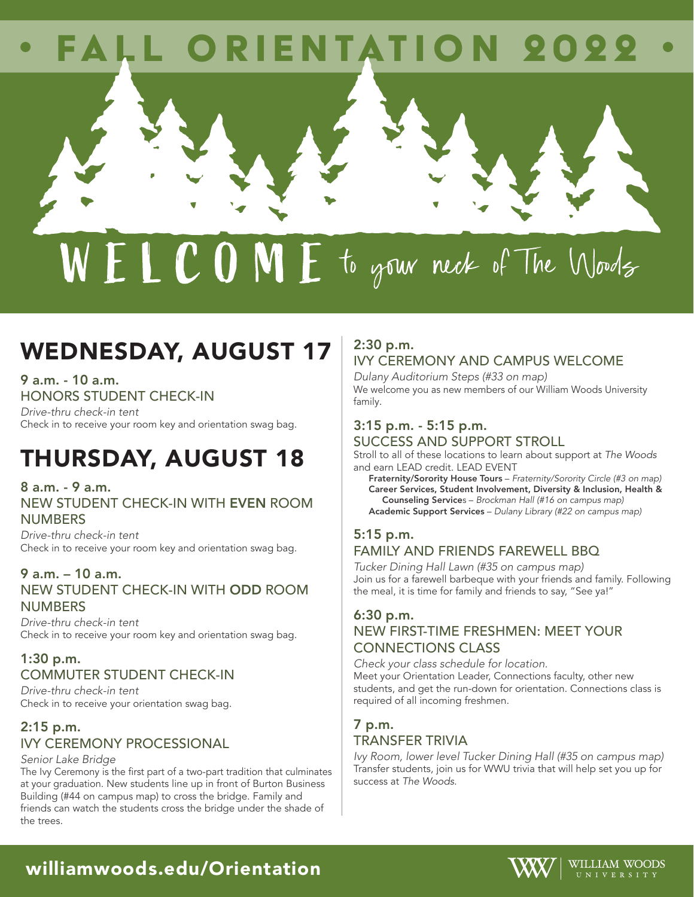# FALL ORIENTATION 2022

# $W E L C O M E$  to gour neck of The Words

## WEDNESDAY, AUGUST 17

9 a.m. - 10 a.m. HONORS STUDENT CHECK-IN

*Drive-thru check-in tent* Check in to receive your room key and orientation swag bag.

# THURSDAY, AUGUST 18

8 a.m. - 9 a.m. NEW STUDENT CHECK-IN WITH EVEN ROOM **NUMBERS** 

*Drive-thru check-in tent* Check in to receive your room key and orientation swag bag.

### 9 a.m. – 10 a.m.

NEW STUDENT CHECK-IN WITH ODD ROOM **NUMBERS** 

*Drive-thru check-in tent* Check in to receive your room key and orientation swag bag.

### 1:30 p.m. COMMUTER STUDENT CHECK-IN

*Drive-thru check-in tent* Check in to receive your orientation swag bag.

### 2:15 p.m. IVY CEREMONY PROCESSIONAL

*Senior Lake Bridge* 

The Ivy Ceremony is the first part of a two-part tradition that culminates at your graduation. New students line up in front of Burton Business Building (#44 on campus map) to cross the bridge. Family and friends can watch the students cross the bridge under the shade of the trees.

### 2:30 p.m. IVY CEREMONY AND CAMPUS WELCOME

*Dulany Auditorium Steps (#33 on map)*  We welcome you as new members of our William Woods University family.

### 3:15 p.m. - 5:15 p.m. SUCCESS AND SUPPORT STROLL

Stroll to all of these locations to learn about support at *The Woods* and earn LEAD credit. LEAD EVENT

Fraternity/Sorority House Tours – *Fraternity/Sorority Circle (#3 on map)* Career Services, Student Involvement, Diversity & Inclusion, Health & Counseling Services – *Brockman Hall (#16 on campus map)* Academic Support Services – *Dulany Library (#22 on campus map)*

### 5:15 p.m.

### FAMILY AND FRIENDS FAREWELL BBQ

*Tucker Dining Hall Lawn (#35 on campus map)*  Join us for a farewell barbeque with your friends and family. Following the meal, it is time for family and friends to say, "See ya!"

### 6:30 p.m.

### NEW FIRST-TIME FRESHMEN: MEET YOUR CONNECTIONS CLASS

*Check your class schedule for location.*  Meet your Orientation Leader, Connections faculty, other new students, and get the run-down for orientation. Connections class is required of all incoming freshmen.

### 7 p.m. TRANSFER TRIVIA

*Ivy Room, lower level Tucker Dining Hall (#35 on campus map)*  Transfer students, join us for WWU trivia that will help set you up for success at *The Woods*.



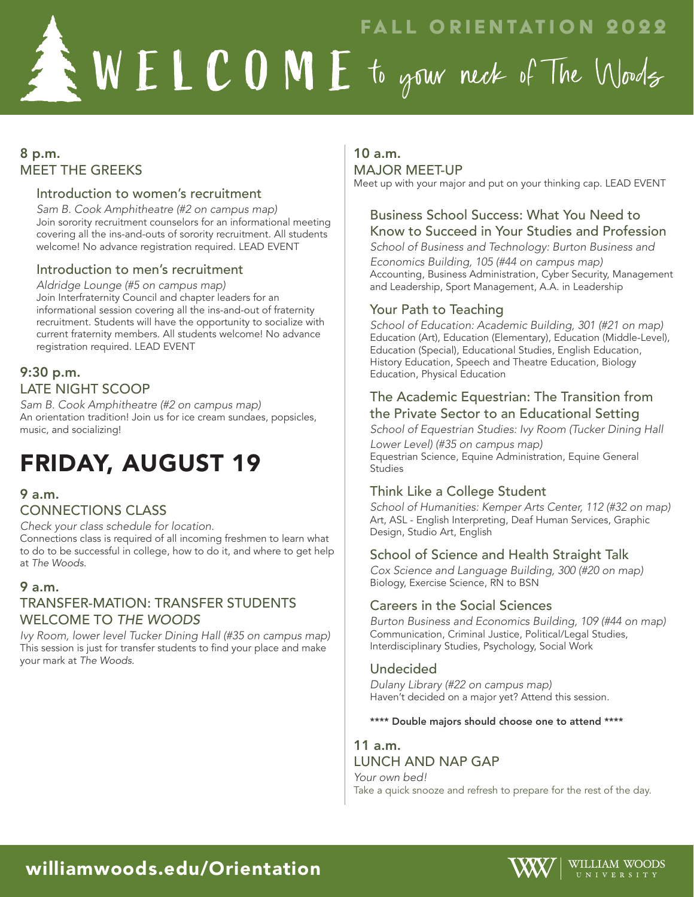FALL ORIENTATION 2022  $\blacktriangle W$   $\blacktriangleright$   $\blacktriangle$   $\blacktriangle$   $\blacktriangle$   $\blacktriangle$   $\blacktriangle$   $\blacktriangle$   $\blacktriangle$   $\blacktriangleright$   $\blacktriangleright$   $\blacktriangleright$   $\blacktriangleright$   $\blacktriangleright$   $\blacktriangleright$   $\blacktriangleright$   $\blacktriangleright$   $\blacktriangleright$   $\blacktriangleright$   $\blacktriangleright$   $\blacktriangleright$   $\blacktriangleright$   $\blacktriangleright$   $\blacktriangleright$   $\blacktriangleright$   $\blacktriangleright$   $\blacktriangleright$   $\blacktriangleright$   $\blacktriangleright$   $\blacktri$ 

### 8 p.m. MEET THE GREEKS

#### Introduction to women's recruitment

*Sam B. Cook Amphitheatre (#2 on campus map)* Join sorority recruitment counselors for an informational meeting covering all the ins-and-outs of sorority recruitment. All students welcome! No advance registration required. LEAD EVENT

### Introduction to men's recruitment

*Aldridge Lounge (#5 on campus map)* Join Interfraternity Council and chapter leaders for an informational session covering all the ins-and-out of fraternity recruitment. Students will have the opportunity to socialize with current fraternity members. All students welcome! No advance registration required. LEAD EVENT

### 9:30 p.m. LATE NIGHT SCOOP

*Sam B. Cook Amphitheatre (#2 on campus map)* An orientation tradition! Join us for ice cream sundaes, popsicles, music, and socializing!

# FRIDAY, AUGUST 19

### 9 a.m.

### CONNECTIONS CLASS

*Check your class schedule for location.*

Connections class is required of all incoming freshmen to learn what to do to be successful in college, how to do it, and where to get help at *The Woods*.

### 9 a.m.

### TRANSFER-MATION: TRANSFER STUDENTS WELCOME TO *THE WOODS*

*Ivy Room, lower level Tucker Dining Hall (#35 on campus map)* This session is just for transfer students to find your place and make your mark at *The Woods*.

#### 10 a.m. MAJOR MEET-UP

Meet up with your major and put on your thinking cap. LEAD EVENT

### Business School Success: What You Need to Know to Succeed in Your Studies and Profession

*School of Business and Technology: Burton Business and Economics Building, 105 (#44 on campus map)* Accounting, Business Administration, Cyber Security, Management and Leadership, Sport Management, A.A. in Leadership

### Your Path to Teaching

*School of Education: Academic Building, 301 (#21 on map)* Education (Art), Education (Elementary), Education (Middle-Level), Education (Special), Educational Studies, English Education, History Education, Speech and Theatre Education, Biology Education, Physical Education

### The Academic Equestrian: The Transition from the Private Sector to an Educational Setting

*School of Equestrian Studies: Ivy Room (Tucker Dining Hall Lower Level) (#35 on campus map)* Equestrian Science, Equine Administration, Equine General Studies

### Think Like a College Student

*School of Humanities: Kemper Arts Center, 112 (#32 on map)* Art, ASL - English Interpreting, Deaf Human Services, Graphic Design, Studio Art, English

### School of Science and Health Straight Talk

*Cox Science and Language Building, 300 (#20 on map)* Biology, Exercise Science, RN to BSN

### Careers in the Social Sciences

*Burton Business and Economics Building, 109 (#44 on map)* Communication, Criminal Justice, Political/Legal Studies, Interdisciplinary Studies, Psychology, Social Work

### Undecided

*Dulany Library (#22 on campus map)* Haven't decided on a major yet? Attend this session.

#### \*\*\*\* Double majors should choose one to attend \*\*\*\*

#### 11 a.m. LUNCH AND NAP GAP

*Your own bed!*  Take a quick snooze and refresh to prepare for the rest of the day.

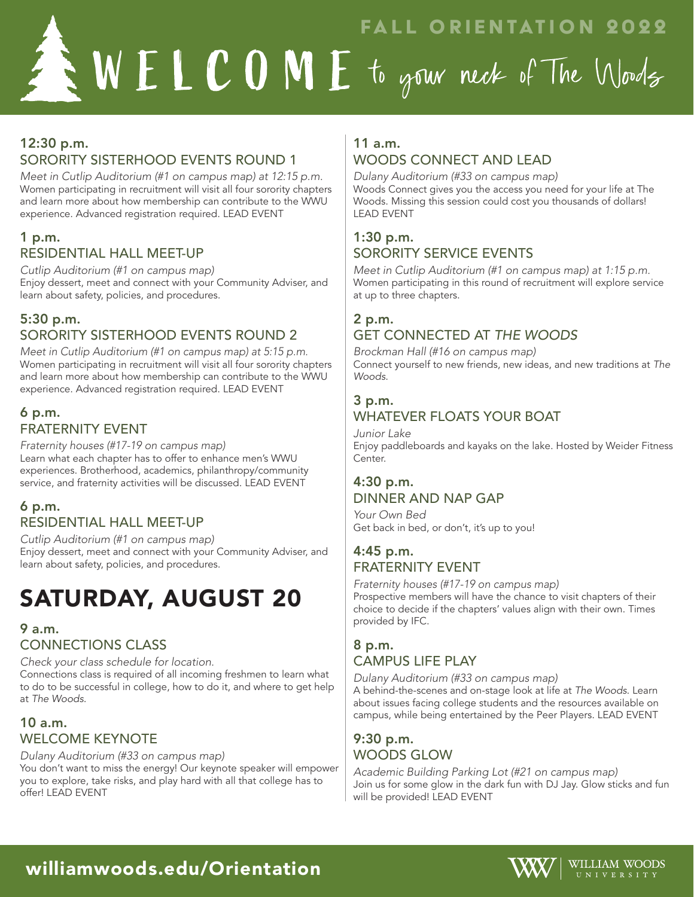FALL ORIENTATION 2022

### 12:30 p.m. SORORITY SISTERHOOD EVENTS ROUND 1

*Meet in Cutlip Auditorium (#1 on campus map) at 12:15 p.m.* Women participating in recruitment will visit all four sorority chapters and learn more about how membership can contribute to the WWU experience. Advanced registration required. LEAD EVENT

### 1 p.m. RESIDENTIAL HALL MEET-UP

*Cutlip Auditorium (#1 on campus map)* Enjoy dessert, meet and connect with your Community Adviser, and learn about safety, policies, and procedures.

### 5:30 p.m. SORORITY SISTERHOOD EVENTS ROUND 2

*Meet in Cutlip Auditorium (#1 on campus map) at 5:15 p.m.*  Women participating in recruitment will visit all four sorority chapters and learn more about how membership can contribute to the WWU experience. Advanced registration required. LEAD EVENT

### 6 p.m. FRATERNITY EVENT

*Fraternity houses (#17-19 on campus map)*  Learn what each chapter has to offer to enhance men's WWU experiences. Brotherhood, academics, philanthropy/community service, and fraternity activities will be discussed. LEAD EVENT

### 6 p.m. RESIDENTIAL HALL MEET-UP

*Cutlip Auditorium (#1 on campus map)* Enjoy dessert, meet and connect with your Community Adviser, and learn about safety, policies, and procedures.

# SATURDAY, AUGUST 20

### 9 a.m.

CONNECTIONS CLASS

*Check your class schedule for location.* Connections class is required of all incoming freshmen to learn what to do to be successful in college, how to do it, and where to get help at *The Woods*.

### 10 a.m. WELCOME KEYNOTE

*Dulany Auditorium (#33 on campus map)*  You don't want to miss the energy! Our keynote speaker will empower you to explore, take risks, and play hard with all that college has to offer! LEAD EVENT

### 11 a.m. WOODS CONNECT AND LEAD

*Dulany Auditorium (#33 on campus map)*  Woods Connect gives you the access you need for your life at The Woods. Missing this session could cost you thousands of dollars! LEAD EVENT

### 1:30 p.m. SORORITY SERVICE EVENTS

*Meet in Cutlip Auditorium (#1 on campus map) at 1:15 p.m.*  Women participating in this round of recruitment will explore service at up to three chapters.

### 2 p.m.

### GET CONNECTED AT *THE WOODS*

*Brockman Hall (#16 on campus map)* Connect yourself to new friends, new ideas, and new traditions at *The Woods*.

### 3 p.m.

### WHATEVER FLOATS YOUR BOAT

*Junior Lake* 

Enjoy paddleboards and kayaks on the lake. Hosted by Weider Fitness Center.

### 4:30 p.m. DINNER AND NAP GAP

*Your Own Bed*  Get back in bed, or don't, it's up to you!

### 4:45 p.m. FRATERNITY EVENT

*Fraternity houses (#17-19 on campus map)* 

Prospective members will have the chance to visit chapters of their choice to decide if the chapters' values align with their own. Times provided by IFC.

### 8 p.m. CAMPUS LIFE PLAY

*Dulany Auditorium (#33 on campus map)* 

A behind-the-scenes and on-stage look at life at *The Woods*. Learn about issues facing college students and the resources available on campus, while being entertained by the Peer Players. LEAD EVENT

### 9:30 p.m. WOODS GLOW

*Academic Building Parking Lot (#21 on campus map)*  Join us for some glow in the dark fun with DJ Jay. Glow sticks and fun will be provided! LEAD EVENT



### williamwoods.edu/Orientation